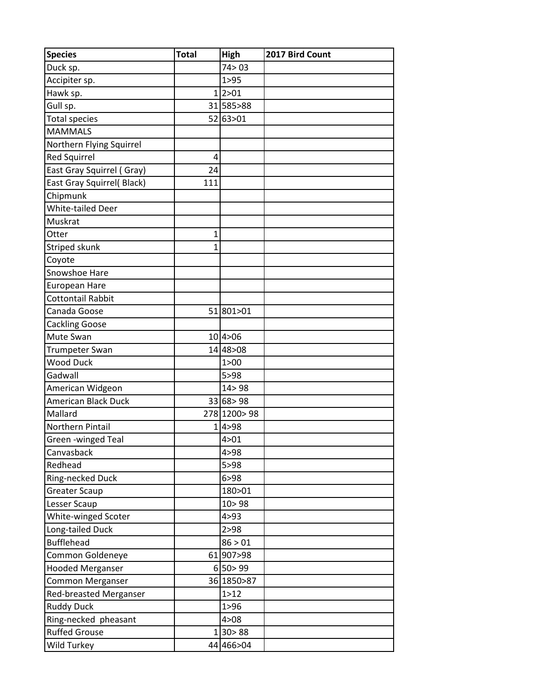| <b>Species</b>                | $\overline{\text{Total}}$ | High          | 2017 Bird Count |
|-------------------------------|---------------------------|---------------|-----------------|
| Duck sp.                      |                           | 74 > 03       |                 |
| Accipiter sp.                 |                           | 1 > 95        |                 |
| Hawk sp.                      |                           | 1 2>01        |                 |
| Gull sp.                      |                           | 31 585 > 88   |                 |
| <b>Total species</b>          |                           | 52 63 > 01    |                 |
| <b>MAMMALS</b>                |                           |               |                 |
| Northern Flying Squirrel      |                           |               |                 |
| <b>Red Squirrel</b>           | 4                         |               |                 |
| East Gray Squirrel (Gray)     | 24                        |               |                 |
| East Gray Squirrel( Black)    | 111                       |               |                 |
| Chipmunk                      |                           |               |                 |
| <b>White-tailed Deer</b>      |                           |               |                 |
| Muskrat                       |                           |               |                 |
| Otter                         | 1                         |               |                 |
| Striped skunk                 | 1                         |               |                 |
| Coyote                        |                           |               |                 |
| Snowshoe Hare                 |                           |               |                 |
| European Hare                 |                           |               |                 |
| <b>Cottontail Rabbit</b>      |                           |               |                 |
| Canada Goose                  |                           | 51 801 > 01   |                 |
| <b>Cackling Goose</b>         |                           |               |                 |
| Mute Swan                     |                           | 10 4>06       |                 |
| <b>Trumpeter Swan</b>         |                           | 14 48 > 08    |                 |
| <b>Wood Duck</b>              |                           | 1 > 00        |                 |
| Gadwall                       |                           | 5 > 98        |                 |
| American Widgeon              |                           | 14 > 98       |                 |
| American Black Duck           |                           | 33 68 > 98    |                 |
| Mallard                       |                           | 278 1200 > 98 |                 |
| Northern Pintail              |                           | 1 4 > 98      |                 |
| Green -winged Teal            |                           | 4>01          |                 |
| Canvasback                    |                           | 4 > 98        |                 |
| Redhead                       |                           | 5 > 98        |                 |
| Ring-necked Duck              |                           | 6 > 98        |                 |
| <b>Greater Scaup</b>          |                           | 180>01        |                 |
| Lesser Scaup                  |                           | 10 > 98       |                 |
| White-winged Scoter           |                           | 4 > 93        |                 |
| Long-tailed Duck              |                           | 2 > 98        |                 |
| <b>Bufflehead</b>             |                           | 86 > 01       |                 |
| Common Goldeneye              |                           | 61 907 > 98   |                 |
| <b>Hooded Merganser</b>       |                           | 6 50>99       |                 |
| Common Merganser              |                           | 36 1850 > 87  |                 |
| <b>Red-breasted Merganser</b> |                           | 1 > 12        |                 |
| <b>Ruddy Duck</b>             |                           | 1 > 96        |                 |
| Ring-necked pheasant          |                           | 4 > 08        |                 |
| <b>Ruffed Grouse</b>          |                           | 1 30>88       |                 |
| Wild Turkey                   |                           | 44 466 > 04   |                 |
|                               |                           |               |                 |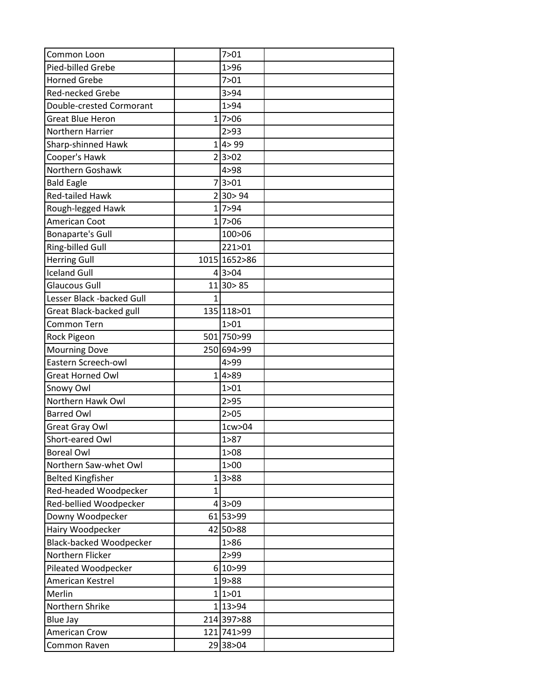| Common Loon                    |              | 7 > 01       |  |
|--------------------------------|--------------|--------------|--|
| Pied-billed Grebe              |              | 1 > 96       |  |
| <b>Horned Grebe</b>            |              | 7 > 01       |  |
| <b>Red-necked Grebe</b>        |              | 3 > 94       |  |
|                                |              |              |  |
| Double-crested Cormorant       |              | 1 > 94       |  |
| <b>Great Blue Heron</b>        |              | 1 7>06       |  |
| Northern Harrier               |              | 2 > 93       |  |
| Sharp-shinned Hawk             |              | 1 4>99       |  |
| Cooper's Hawk                  |              | 2 3>02       |  |
| Northern Goshawk               |              | 4>98         |  |
| <b>Bald Eagle</b>              |              | 7 3>01       |  |
| <b>Red-tailed Hawk</b>         |              | 2 30>94      |  |
| Rough-legged Hawk              |              | 1 7>94       |  |
| American Coot                  |              | 1 7>06       |  |
| <b>Bonaparte's Gull</b>        |              | 100>06       |  |
| Ring-billed Gull               |              | 221>01       |  |
| <b>Herring Gull</b>            |              | 1015 1652>86 |  |
| <b>Iceland Gull</b>            |              | 4 3>04       |  |
| <b>Glaucous Gull</b>           |              | $11$ 30 > 85 |  |
| Lesser Black -backed Gull      | $\mathbf{1}$ |              |  |
| Great Black-backed gull        |              | 135 118 > 01 |  |
| Common Tern                    |              | 1 > 01       |  |
| Rock Pigeon                    |              | 501 750 > 99 |  |
| <b>Mourning Dove</b>           |              | 250 694 > 99 |  |
| Eastern Screech-owl            |              | 4>99         |  |
| <b>Great Horned Owl</b>        |              | 1 4>89       |  |
| Snowy Owl                      |              | 1 > 01       |  |
| Northern Hawk Owl              |              | 2 > 95       |  |
| <b>Barred Owl</b>              |              | 2 > 05       |  |
| Great Gray Owl                 |              | $1$ cw $>04$ |  |
| Short-eared Owl                |              | 1>87         |  |
| <b>Boreal Owl</b>              |              | 1 > 08       |  |
| Northern Saw-whet Owl          |              | 1 > 00       |  |
| <b>Belted Kingfisher</b>       |              | 1 3>88       |  |
| Red-headed Woodpecker          | $\mathbf{1}$ |              |  |
| Red-bellied Woodpecker         |              | 4 3>09       |  |
| Downy Woodpecker               |              | 61 53 > 99   |  |
| Hairy Woodpecker               |              | 42 50 > 88   |  |
| <b>Black-backed Woodpecker</b> |              | 1 > 86       |  |
| Northern Flicker               |              | 2 > 99       |  |
| Pileated Woodpecker            |              | 6 10>99      |  |
| American Kestrel               |              | 1 9>88       |  |
| Merlin                         |              | 1 1>01       |  |
| Northern Shrike                |              | 1 13 > 94    |  |
|                                |              | 214 397 > 88 |  |
| <b>Blue Jay</b>                |              |              |  |
| <b>American Crow</b>           |              | 121 741 > 99 |  |
| Common Raven                   |              | 29 38 > 04   |  |